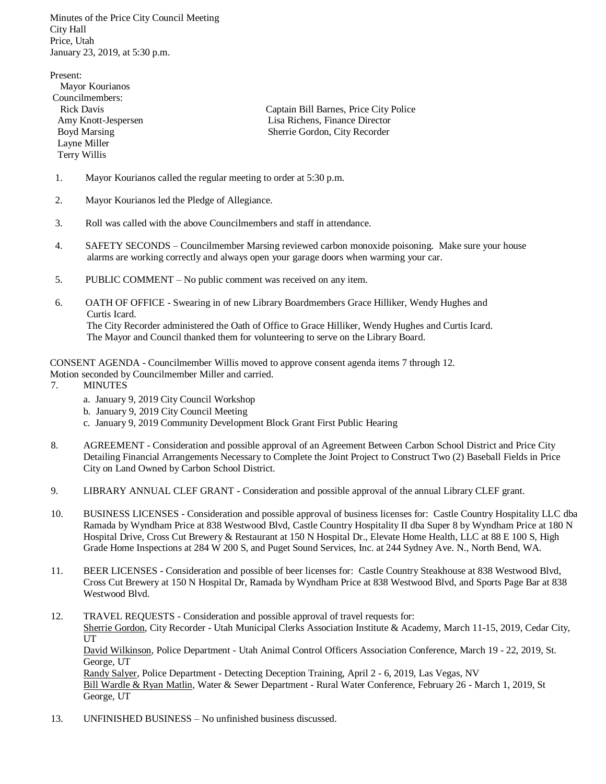Minutes of the Price City Council Meeting City Hall Price, Utah January 23, 2019, at 5:30 p.m.

Present: Mayor Kourianos Councilmembers: Rick Davis Captain Bill Barnes, Price City Police Amy Knott-Jespersen Lisa Richens, Finance Director Boyd Marsing Sherrie Gordon, City Recorder Layne Miller Terry Willis

- 1. Mayor Kourianos called the regular meeting to order at 5:30 p.m.
- 2. Mayor Kourianos led the Pledge of Allegiance.
- 3. Roll was called with the above Councilmembers and staff in attendance.
- 4. SAFETY SECONDS Councilmember Marsing reviewed carbon monoxide poisoning. Make sure your house alarms are working correctly and always open your garage doors when warming your car.
- 5. PUBLIC COMMENT No public comment was received on any item.
- 6. OATH OF OFFICE Swearing in of new Library Boardmembers Grace Hilliker, Wendy Hughes and Curtis Icard.

 The City Recorder administered the Oath of Office to Grace Hilliker, Wendy Hughes and Curtis Icard. The Mayor and Council thanked them for volunteering to serve on the Library Board.

CONSENT AGENDA - Councilmember Willis moved to approve consent agenda items 7 through 12.

- Motion seconded by Councilmember Miller and carried.
- 7. MINUTES
	- a. January 9, 2019 City Council Workshop
	- b. January 9, 2019 City Council Meeting
	- c. January 9, 2019 Community Development Block Grant First Public Hearing
- 8. AGREEMENT Consideration and possible approval of an Agreement Between Carbon School District and Price City Detailing Financial Arrangements Necessary to Complete the Joint Project to Construct Two (2) Baseball Fields in Price City on Land Owned by Carbon School District.
- 9. LIBRARY ANNUAL CLEF GRANT Consideration and possible approval of the annual Library CLEF grant.
- 10. BUSINESS LICENSES Consideration and possible approval of business licenses for: Castle Country Hospitality LLC dba Ramada by Wyndham Price at 838 Westwood Blvd, Castle Country Hospitality II dba Super 8 by Wyndham Price at 180 N Hospital Drive, Cross Cut Brewery & Restaurant at 150 N Hospital Dr., Elevate Home Health, LLC at 88 E 100 S, High Grade Home Inspections at 284 W 200 S, and Puget Sound Services, Inc. at 244 Sydney Ave. N., North Bend, WA.
- 11. BEER LICENSES Consideration and possible of beer licenses for: Castle Country Steakhouse at 838 Westwood Blvd, Cross Cut Brewery at 150 N Hospital Dr, Ramada by Wyndham Price at 838 Westwood Blvd, and Sports Page Bar at 838 Westwood Blvd.
- 12. TRAVEL REQUESTS Consideration and possible approval of travel requests for: Sherrie Gordon, City Recorder - Utah Municipal Clerks Association Institute & Academy, March 11-15, 2019, Cedar City, UT David Wilkinson, Police Department - Utah Animal Control Officers Association Conference, March 19 - 22, 2019, St. George, UT Randy Salyer, Police Department - Detecting Deception Training, April 2 - 6, 2019, Las Vegas, NV Bill Wardle & Ryan Matlin, Water & Sewer Department - Rural Water Conference, February 26 - March 1, 2019, St George, UT
- 13. UNFINISHED BUSINESS No unfinished business discussed.